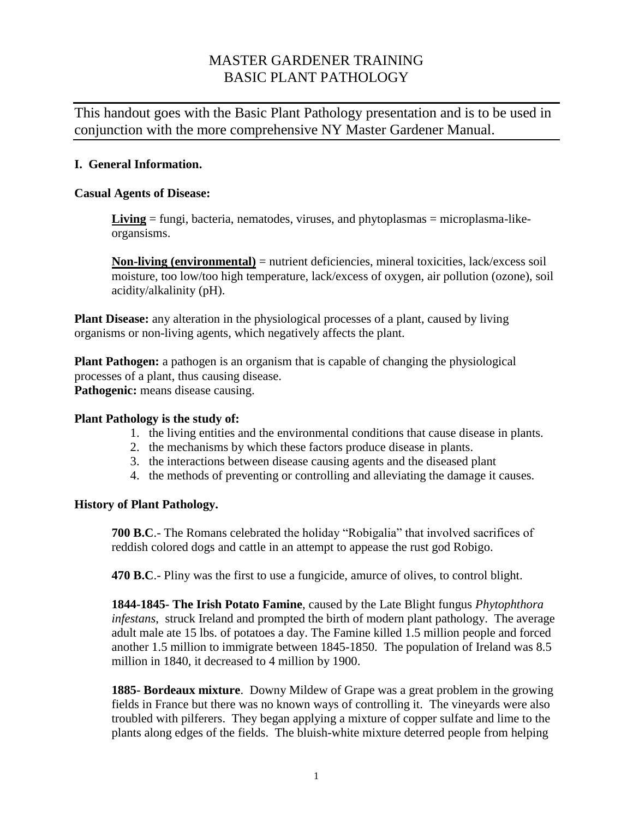# MASTER GARDENER TRAINING BASIC PLANT PATHOLOGY

This handout goes with the Basic Plant Pathology presentation and is to be used in conjunction with the more comprehensive NY Master Gardener Manual.

### **I. General Information.**

#### **Casual Agents of Disease:**

**Living** = fungi, bacteria, nematodes, viruses, and phytoplasmas = microplasma-likeorgansisms.

**Non-living (environmental)** = nutrient deficiencies, mineral toxicities, lack/excess soil moisture, too low/too high temperature, lack/excess of oxygen, air pollution (ozone), soil acidity/alkalinity (pH).

**Plant Disease:** any alteration in the physiological processes of a plant, caused by living organisms or non-living agents, which negatively affects the plant.

**Plant Pathogen:** a pathogen is an organism that is capable of changing the physiological processes of a plant, thus causing disease. **Pathogenic:** means disease causing.

#### **Plant Pathology is the study of:**

- 1. the living entities and the environmental conditions that cause disease in plants.
- 2. the mechanisms by which these factors produce disease in plants.
- 3. the interactions between disease causing agents and the diseased plant
- 4. the methods of preventing or controlling and alleviating the damage it causes.

#### **History of Plant Pathology.**

**700 B.C**.- The Romans celebrated the holiday "Robigalia" that involved sacrifices of reddish colored dogs and cattle in an attempt to appease the rust god Robigo.

**470 B.C**.- Pliny was the first to use a fungicide, amurce of olives, to control blight.

**1844-1845- The Irish Potato Famine**, caused by the Late Blight fungus *Phytophthora infestans*, struck Ireland and prompted the birth of modern plant pathology. The average adult male ate 15 lbs. of potatoes a day. The Famine killed 1.5 million people and forced another 1.5 million to immigrate between 1845-1850. The population of Ireland was 8.5 million in 1840, it decreased to 4 million by 1900.

**1885- Bordeaux mixture**. Downy Mildew of Grape was a great problem in the growing fields in France but there was no known ways of controlling it. The vineyards were also troubled with pilferers. They began applying a mixture of copper sulfate and lime to the plants along edges of the fields. The bluish-white mixture deterred people from helping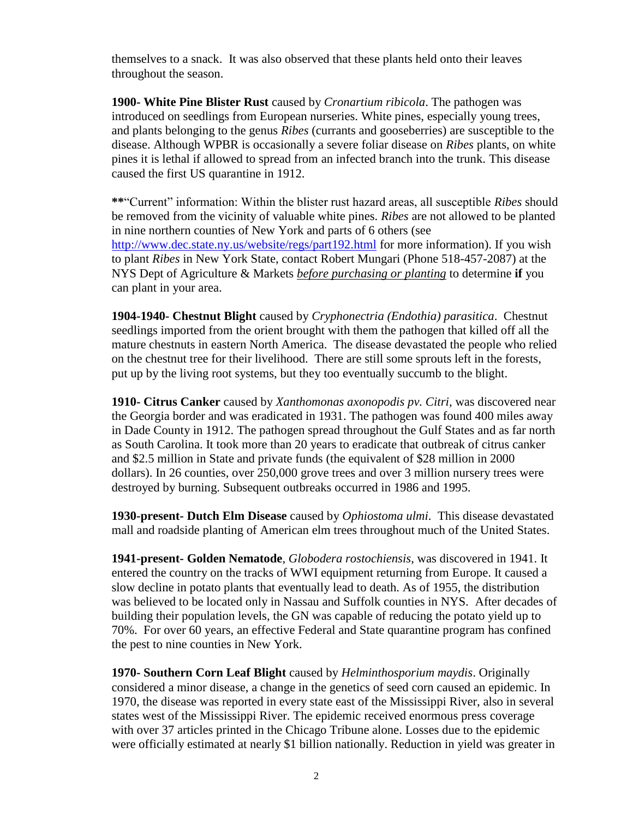themselves to a snack. It was also observed that these plants held onto their leaves throughout the season.

**1900- White Pine Blister Rust** caused by *Cronartium ribicola*. The pathogen was introduced on seedlings from European nurseries. White pines, especially young trees, and plants belonging to the genus *Ribes* (currants and gooseberries) are susceptible to the disease. Although WPBR is occasionally a severe foliar disease on *Ribes* plants, on white pines it is lethal if allowed to spread from an infected branch into the trunk. This disease caused the first US quarantine in 1912.

**\*\***"Current" information: Within the blister rust hazard areas, all susceptible *Ribes* should be removed from the vicinity of valuable white pines. *Ribes* are not allowed to be planted in nine northern counties of New York and parts of 6 others (see <http://www.dec.state.ny.us/website/regs/part192.html> for more information). If you wish to plant *Ribes* in New York State, contact Robert Mungari (Phone 518-457-2087) at the NYS Dept of Agriculture & Markets *before purchasing or planting* to determine **if** you can plant in your area.

**1904-1940- Chestnut Blight** caused by *Cryphonectria (Endothia) parasitica*. Chestnut seedlings imported from the orient brought with them the pathogen that killed off all the mature chestnuts in eastern North America. The disease devastated the people who relied on the chestnut tree for their livelihood. There are still some sprouts left in the forests, put up by the living root systems, but they too eventually succumb to the blight.

**1910- Citrus Canker** caused by *Xanthomonas axonopodis pv. Citri,* was discovered near the Georgia border and was eradicated in 1931. The pathogen was found 400 miles away in Dade County in 1912. The pathogen spread throughout the Gulf States and as far north as South Carolina. It took more than 20 years to eradicate that outbreak of citrus canker and \$2.5 million in State and private funds (the equivalent of \$28 million in 2000 dollars). In 26 counties, over 250,000 grove trees and over 3 million nursery trees were destroyed by burning. Subsequent outbreaks occurred in 1986 and 1995.

**1930-present- Dutch Elm Disease** caused by *Ophiostoma ulmi*. This disease devastated mall and roadside planting of American elm trees throughout much of the United States.

**1941-present- Golden Nematode**, *Globodera rostochiensis*, was discovered in 1941. It entered the country on the tracks of WWI equipment returning from Europe. It caused a slow decline in potato plants that eventually lead to death. As of 1955, the distribution was believed to be located only in Nassau and Suffolk counties in NYS. After decades of building their population levels, the GN was capable of reducing the potato yield up to 70%. For over 60 years, an effective Federal and State quarantine program has confined the pest to nine counties in New York.

**1970- Southern Corn Leaf Blight** caused by *Helminthosporium maydis*. Originally considered a minor disease, a change in the genetics of seed corn caused an epidemic. In 1970, the disease was reported in every state east of the Mississippi River, also in several states west of the Mississippi River. The epidemic received enormous press coverage with over 37 articles printed in the Chicago Tribune alone. Losses due to the epidemic were officially estimated at nearly \$1 billion nationally. Reduction in yield was greater in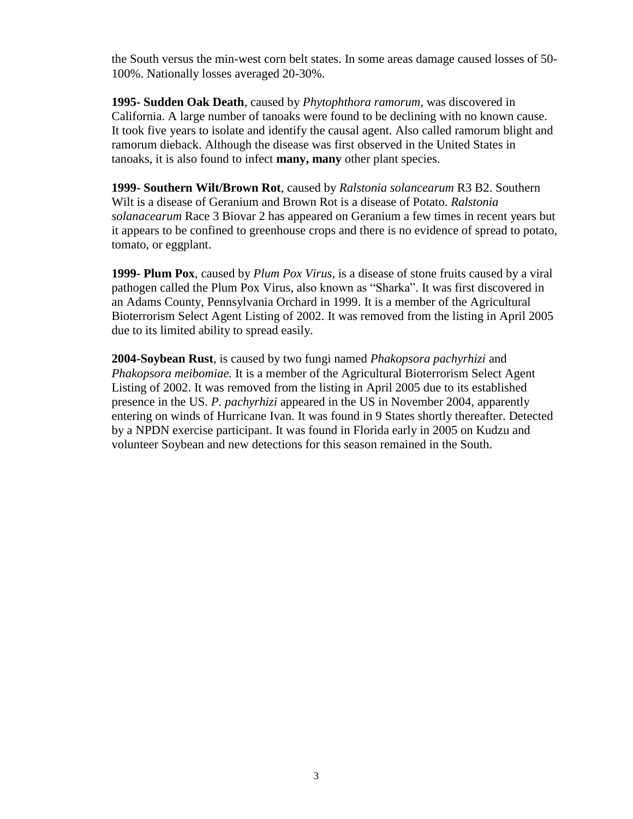the South versus the min-west corn belt states. In some areas damage caused losses of 50- 100%. Nationally losses averaged 20-30%.

**1995- Sudden Oak Death**, caused by *Phytophthora ramorum,* was discovered in California. A large number of tanoaks were found to be declining with no known cause. It took five years to isolate and identify the causal agent. Also called ramorum blight and ramorum dieback. Although the disease was first observed in the United States in tanoaks, it is also found to infect **many, many** other plant species.

**1999- Southern Wilt/Brown Rot**, caused by *Ralstonia solancearum* R3 B2. Southern Wilt is a disease of Geranium and Brown Rot is a disease of Potato. *Ralstonia solanacearum* Race 3 Biovar 2 has appeared on Geranium a few times in recent years but it appears to be confined to greenhouse crops and there is no evidence of spread to potato, tomato, or eggplant.

**1999- Plum Pox**, caused by *Plum Pox Virus,* is a disease of stone fruits caused by a viral pathogen called the Plum Pox Virus, also known as "Sharka". It was first discovered in an Adams County, Pennsylvania Orchard in 1999. It is a member of the Agricultural Bioterrorism Select Agent Listing of 2002. It was removed from the listing in April 2005 due to its limited ability to spread easily.

**2004-Soybean Rust**, is caused by two fungi named *Phakopsora pachyrhizi* and *Phakopsora meibomiae.* It is a member of the Agricultural Bioterrorism Select Agent Listing of 2002. It was removed from the listing in April 2005 due to its established presence in the US. *P. pachyrhizi* appeared in the US in November 2004, apparently entering on winds of Hurricane Ivan. It was found in 9 States shortly thereafter. Detected by a NPDN exercise participant. It was found in Florida early in 2005 on Kudzu and volunteer Soybean and new detections for this season remained in the South.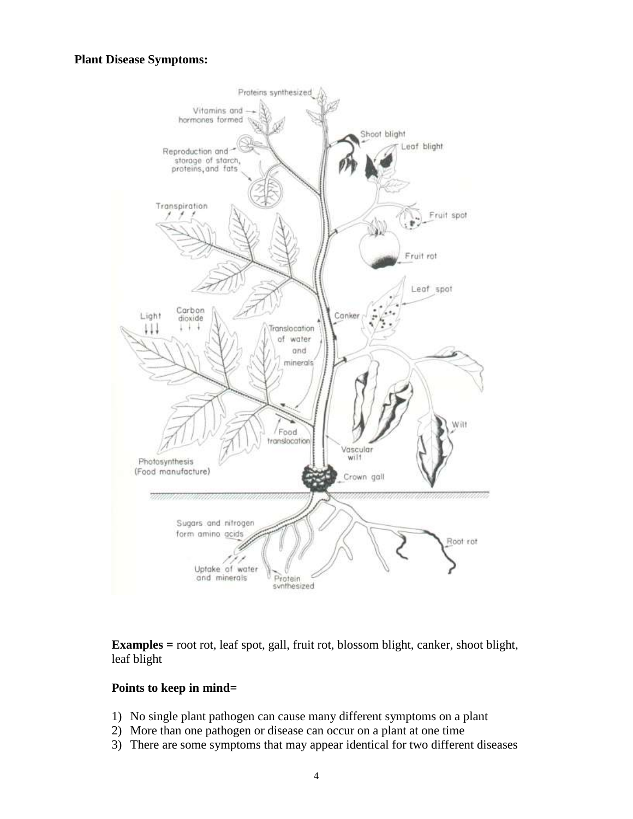#### **Plant Disease Symptoms:**



**Examples =** root rot, leaf spot, gall, fruit rot, blossom blight, canker, shoot blight, leaf blight

#### **Points to keep in mind=**

- 1) No single plant pathogen can cause many different symptoms on a plant
- 2) More than one pathogen or disease can occur on a plant at one time
- 3) There are some symptoms that may appear identical for two different diseases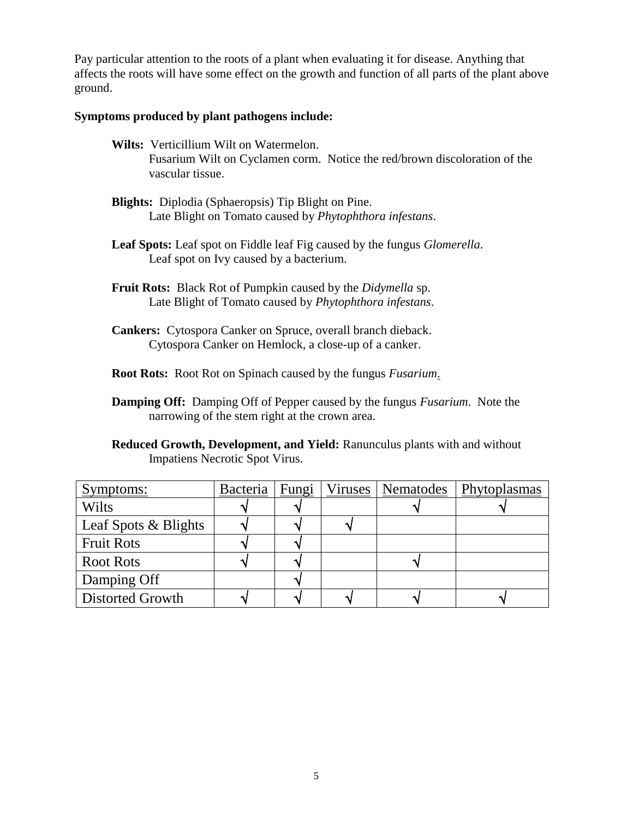Pay particular attention to the roots of a plant when evaluating it for disease. Anything that affects the roots will have some effect on the growth and function of all parts of the plant above ground.

#### **Symptoms produced by plant pathogens include:**

- **Wilts:** Verticillium Wilt on Watermelon. Fusarium Wilt on Cyclamen corm. Notice the red/brown discoloration of the vascular tissue.
- **Blights:** Diplodia (Sphaeropsis) Tip Blight on Pine. Late Blight on Tomato caused by *Phytophthora infestans*.
- **Leaf Spots:** Leaf spot on Fiddle leaf Fig caused by the fungus *Glomerella*. Leaf spot on Ivy caused by a bacterium.
- **Fruit Rots:** Black Rot of Pumpkin caused by the *Didymella* sp. Late Blight of Tomato caused by *Phytophthora infestans*.
- **Cankers:** Cytospora Canker on Spruce, overall branch dieback. Cytospora Canker on Hemlock, a close-up of a canker.

**Root Rots:** Root Rot on Spinach caused by the fungus *Fusarium*.

- **Damping Off:** Damping Off of Pepper caused by the fungus *Fusarium*. Note the narrowing of the stem right at the crown area.
- **Reduced Growth, Development, and Yield:** Ranunculus plants with and without Impatiens Necrotic Spot Virus.

| Symptoms:            | Bacteria | Fungi |  | Viruses   Nematodes   Phytoplasmas |
|----------------------|----------|-------|--|------------------------------------|
| Wilts                |          |       |  |                                    |
| Leaf Spots & Blights |          |       |  |                                    |
| <b>Fruit Rots</b>    |          |       |  |                                    |
| <b>Root Rots</b>     |          |       |  |                                    |
| Damping Off          |          |       |  |                                    |
| Distorted Growth     |          |       |  |                                    |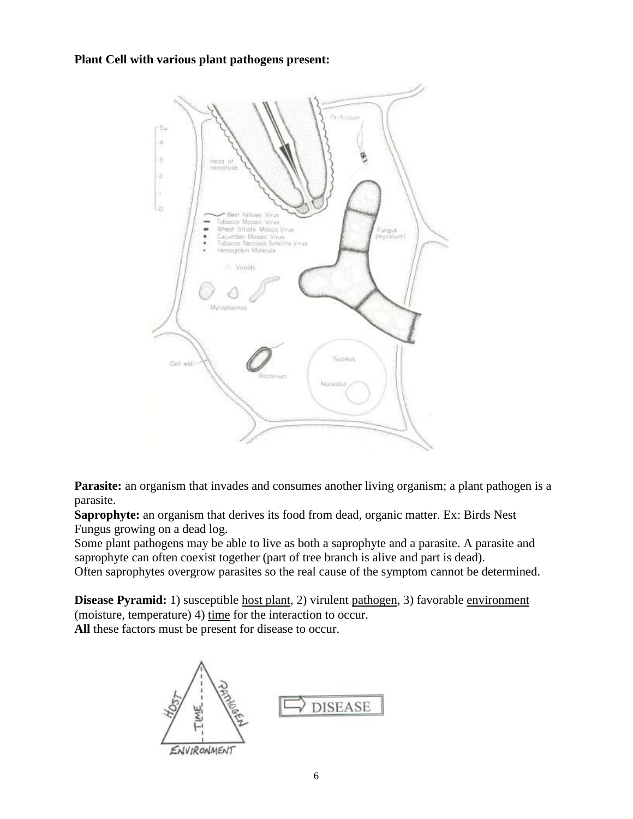**Plant Cell with various plant pathogens present:**



**Parasite:** an organism that invades and consumes another living organism; a plant pathogen is a parasite.

**Saprophyte:** an organism that derives its food from dead, organic matter. Ex: Birds Nest Fungus growing on a dead log.

Some plant pathogens may be able to live as both a saprophyte and a parasite. A parasite and saprophyte can often coexist together (part of tree branch is alive and part is dead).

Often saprophytes overgrow parasites so the real cause of the symptom cannot be determined.

**Disease Pyramid:** 1) susceptible host plant, 2) virulent pathogen, 3) favorable environment (moisture, temperature) 4) time for the interaction to occur. **All** these factors must be present for disease to occur.

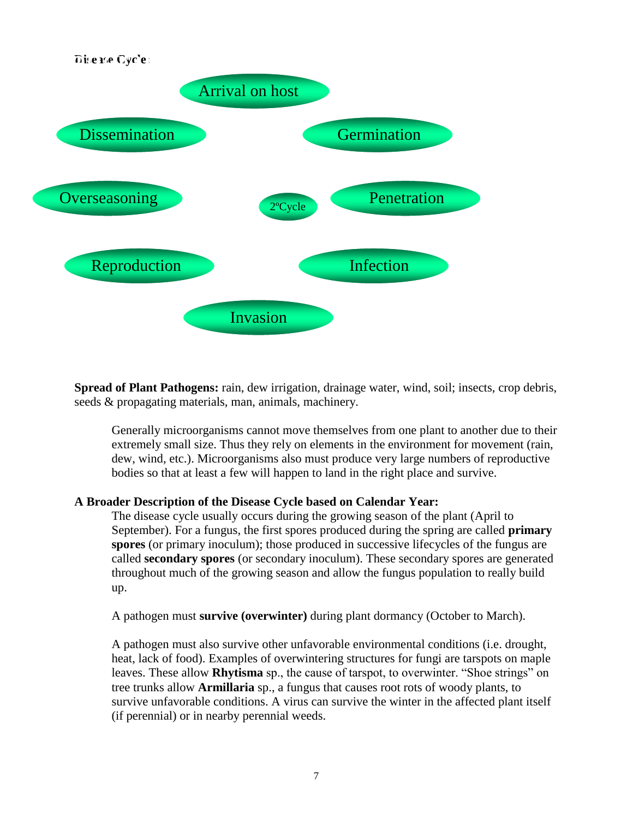

**Spread of Plant Pathogens:** rain, dew irrigation, drainage water, wind, soil; insects, crop debris, seeds & propagating materials, man, animals, machinery.

Generally microorganisms cannot move themselves from one plant to another due to their extremely small size. Thus they rely on elements in the environment for movement (rain, dew, wind, etc.). Microorganisms also must produce very large numbers of reproductive bodies so that at least a few will happen to land in the right place and survive.

#### **A Broader Description of the Disease Cycle based on Calendar Year:**

The disease cycle usually occurs during the growing season of the plant (April to September). For a fungus, the first spores produced during the spring are called **primary spores** (or primary inoculum); those produced in successive lifecycles of the fungus are called **secondary spores** (or secondary inoculum). These secondary spores are generated throughout much of the growing season and allow the fungus population to really build up.

A pathogen must **survive (overwinter)** during plant dormancy (October to March).

A pathogen must also survive other unfavorable environmental conditions (i.e. drought, heat, lack of food). Examples of overwintering structures for fungi are tarspots on maple leaves. These allow **Rhytisma** sp., the cause of tarspot, to overwinter. "Shoe strings" on tree trunks allow **Armillaria** sp., a fungus that causes root rots of woody plants, to survive unfavorable conditions. A virus can survive the winter in the affected plant itself (if perennial) or in nearby perennial weeds.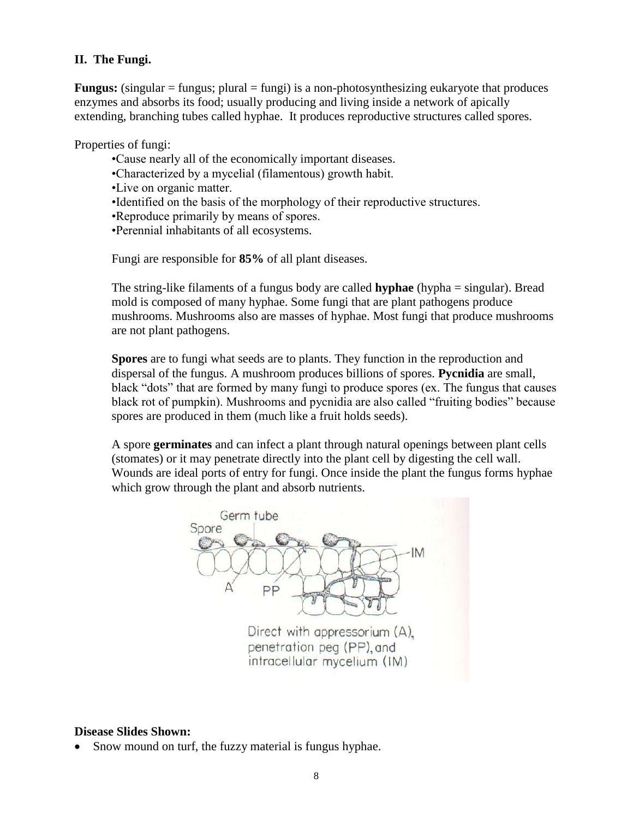### **II. The Fungi.**

**Fungus:** (singular = fungus; plural = fungi) is a non-photosynthesizing eukaryote that produces enzymes and absorbs its food; usually producing and living inside a network of apically extending, branching tubes called hyphae. It produces reproductive structures called spores.

Properties of fungi:

- •Cause nearly all of the economically important diseases.
- •Characterized by a mycelial (filamentous) growth habit.
- •Live on organic matter.
- •Identified on the basis of the morphology of their reproductive structures.
- •Reproduce primarily by means of spores.
- •Perennial inhabitants of all ecosystems.

Fungi are responsible for **85%** of all plant diseases.

The string-like filaments of a fungus body are called **hyphae** (hypha = singular). Bread mold is composed of many hyphae. Some fungi that are plant pathogens produce mushrooms. Mushrooms also are masses of hyphae. Most fungi that produce mushrooms are not plant pathogens.

**Spores** are to fungi what seeds are to plants. They function in the reproduction and dispersal of the fungus. A mushroom produces billions of spores. **Pycnidia** are small, black "dots" that are formed by many fungi to produce spores (ex. The fungus that causes black rot of pumpkin). Mushrooms and pycnidia are also called "fruiting bodies" because spores are produced in them (much like a fruit holds seeds).

A spore **germinates** and can infect a plant through natural openings between plant cells (stomates) or it may penetrate directly into the plant cell by digesting the cell wall. Wounds are ideal ports of entry for fungi. Once inside the plant the fungus forms hyphae which grow through the plant and absorb nutrients.



#### **Disease Slides Shown:**

Snow mound on turf, the fuzzy material is fungus hyphae.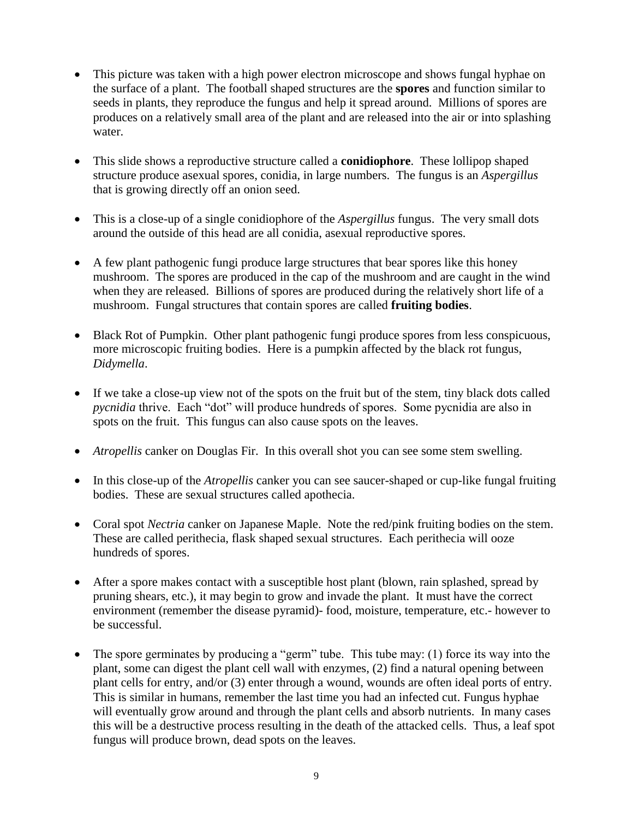- This picture was taken with a high power electron microscope and shows fungal hyphae on the surface of a plant. The football shaped structures are the **spores** and function similar to seeds in plants, they reproduce the fungus and help it spread around. Millions of spores are produces on a relatively small area of the plant and are released into the air or into splashing water.
- This slide shows a reproductive structure called a **conidiophore**. These lollipop shaped structure produce asexual spores, conidia, in large numbers. The fungus is an *Aspergillus* that is growing directly off an onion seed.
- This is a close-up of a single conidiophore of the *Aspergillus* fungus. The very small dots around the outside of this head are all conidia, asexual reproductive spores.
- A few plant pathogenic fungi produce large structures that bear spores like this honey mushroom. The spores are produced in the cap of the mushroom and are caught in the wind when they are released. Billions of spores are produced during the relatively short life of a mushroom. Fungal structures that contain spores are called **fruiting bodies**.
- Black Rot of Pumpkin. Other plant pathogenic fungi produce spores from less conspicuous, more microscopic fruiting bodies. Here is a pumpkin affected by the black rot fungus, *Didymella*.
- If we take a close-up view not of the spots on the fruit but of the stem, tiny black dots called *pycnidia* thrive. Each "dot" will produce hundreds of spores. Some pycnidia are also in spots on the fruit. This fungus can also cause spots on the leaves.
- *Atropellis* canker on Douglas Fir. In this overall shot you can see some stem swelling.
- In this close-up of the *Atropellis* canker you can see saucer-shaped or cup-like fungal fruiting bodies. These are sexual structures called apothecia.
- Coral spot *Nectria* canker on Japanese Maple. Note the red/pink fruiting bodies on the stem. These are called perithecia, flask shaped sexual structures. Each perithecia will ooze hundreds of spores.
- After a spore makes contact with a susceptible host plant (blown, rain splashed, spread by pruning shears, etc.), it may begin to grow and invade the plant. It must have the correct environment (remember the disease pyramid)- food, moisture, temperature, etc.- however to be successful.
- The spore germinates by producing a "germ" tube. This tube may: (1) force its way into the plant, some can digest the plant cell wall with enzymes, (2) find a natural opening between plant cells for entry, and/or (3) enter through a wound, wounds are often ideal ports of entry. This is similar in humans, remember the last time you had an infected cut. Fungus hyphae will eventually grow around and through the plant cells and absorb nutrients. In many cases this will be a destructive process resulting in the death of the attacked cells. Thus, a leaf spot fungus will produce brown, dead spots on the leaves.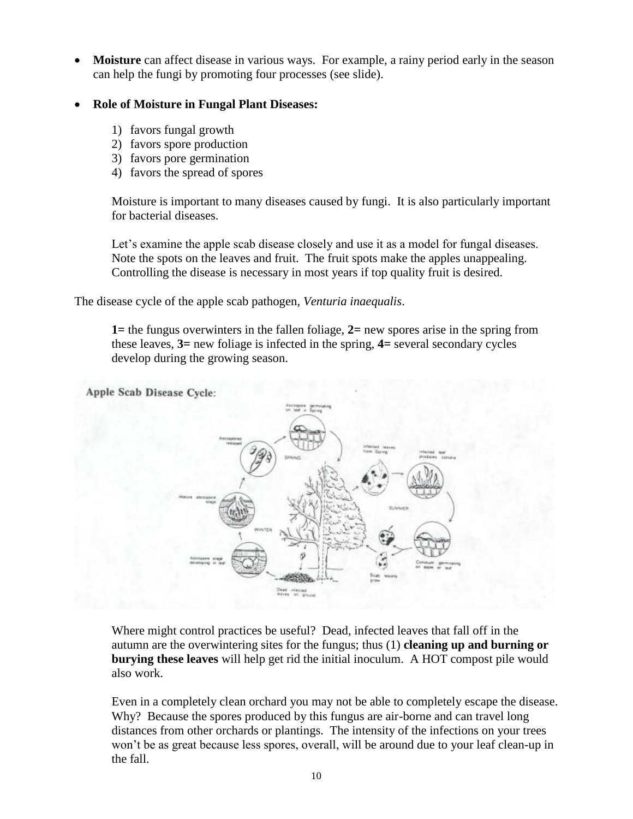**Moisture** can affect disease in various ways. For example, a rainy period early in the season can help the fungi by promoting four processes (see slide).

### **Role of Moisture in Fungal Plant Diseases:**

- 1) favors fungal growth
- 2) favors spore production
- 3) favors pore germination
- 4) favors the spread of spores

Moisture is important to many diseases caused by fungi. It is also particularly important for bacterial diseases.

Let's examine the apple scab disease closely and use it as a model for fungal diseases. Note the spots on the leaves and fruit. The fruit spots make the apples unappealing. Controlling the disease is necessary in most years if top quality fruit is desired.

The disease cycle of the apple scab pathogen, *Venturia inaequalis*.

**1=** the fungus overwinters in the fallen foliage, **2=** new spores arise in the spring from these leaves, **3=** new foliage is infected in the spring, **4=** several secondary cycles develop during the growing season.



Where might control practices be useful? Dead, infected leaves that fall off in the autumn are the overwintering sites for the fungus; thus (1) **cleaning up and burning or burying these leaves** will help get rid the initial inoculum. A HOT compost pile would also work.

Even in a completely clean orchard you may not be able to completely escape the disease. Why? Because the spores produced by this fungus are air-borne and can travel long distances from other orchards or plantings. The intensity of the infections on your trees won't be as great because less spores, overall, will be around due to your leaf clean-up in the fall.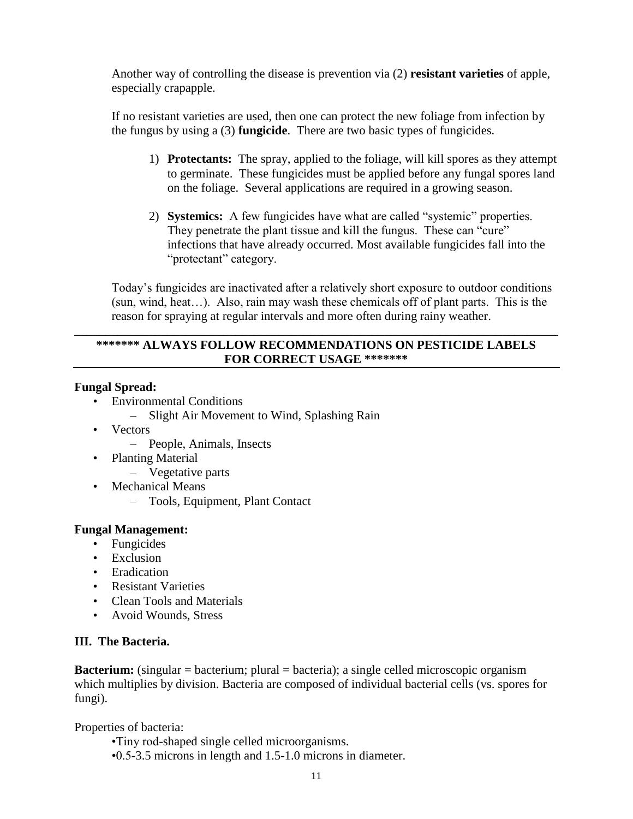Another way of controlling the disease is prevention via (2) **resistant varieties** of apple, especially crapapple.

If no resistant varieties are used, then one can protect the new foliage from infection by the fungus by using a (3) **fungicide**. There are two basic types of fungicides.

- 1) **Protectants:** The spray, applied to the foliage, will kill spores as they attempt to germinate. These fungicides must be applied before any fungal spores land on the foliage. Several applications are required in a growing season.
- 2) **Systemics:** A few fungicides have what are called "systemic" properties. They penetrate the plant tissue and kill the fungus. These can "cure" infections that have already occurred. Most available fungicides fall into the "protectant" category.

Today's fungicides are inactivated after a relatively short exposure to outdoor conditions (sun, wind, heat…). Also, rain may wash these chemicals off of plant parts. This is the reason for spraying at regular intervals and more often during rainy weather.

# **\*\*\*\*\*\*\* ALWAYS FOLLOW RECOMMENDATIONS ON PESTICIDE LABELS FOR CORRECT USAGE \*\*\*\*\*\*\***

\_\_\_\_\_\_\_\_\_\_\_\_\_\_\_\_\_\_\_\_\_\_\_\_\_\_\_\_\_\_\_\_\_\_\_\_\_\_\_\_\_\_\_\_\_\_\_\_\_\_\_\_\_\_\_\_\_\_\_\_\_\_\_\_\_\_\_\_\_\_\_\_\_\_\_\_\_\_

### **Fungal Spread:**

- Environmental Conditions
	- Slight Air Movement to Wind, Splashing Rain
- Vectors
	- People, Animals, Insects
- Planting Material
	- Vegetative parts
- Mechanical Means
	- Tools, Equipment, Plant Contact

### **Fungal Management:**

- Fungicides
- Exclusion
- Eradication
- Resistant Varieties
- Clean Tools and Materials
- Avoid Wounds, Stress

### **III. The Bacteria.**

**Bacterium:** (singular = bacterium; plural = bacteria); a single celled microscopic organism which multiplies by division. Bacteria are composed of individual bacterial cells (vs. spores for fungi).

Properties of bacteria:

- •Tiny rod-shaped single celled microorganisms.
- •0.5-3.5 microns in length and 1.5-1.0 microns in diameter.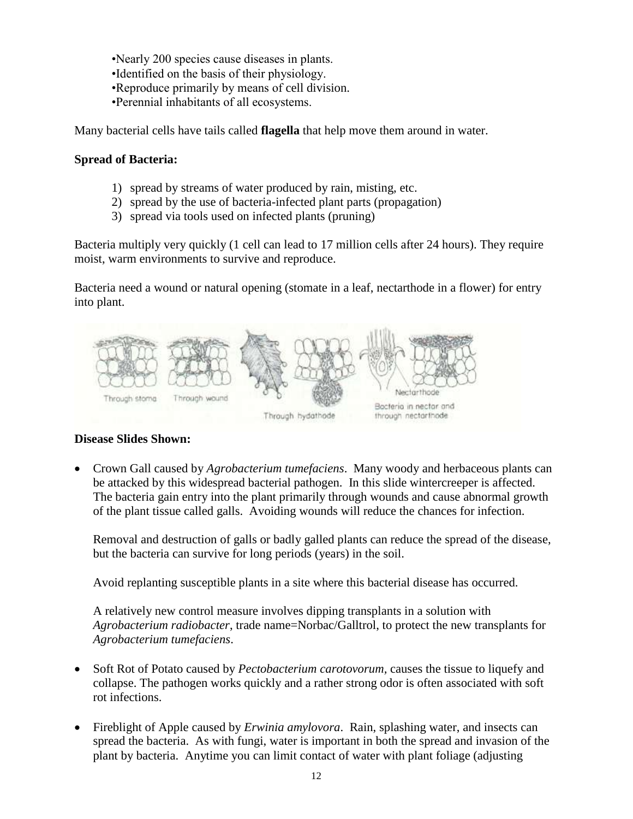•Nearly 200 species cause diseases in plants.

- •Identified on the basis of their physiology.
- •Reproduce primarily by means of cell division.
- •Perennial inhabitants of all ecosystems.

Many bacterial cells have tails called **flagella** that help move them around in water.

### **Spread of Bacteria:**

- 1) spread by streams of water produced by rain, misting, etc.
- 2) spread by the use of bacteria-infected plant parts (propagation)
- 3) spread via tools used on infected plants (pruning)

Bacteria multiply very quickly (1 cell can lead to 17 million cells after 24 hours). They require moist, warm environments to survive and reproduce.

Bacteria need a wound or natural opening (stomate in a leaf, nectarthode in a flower) for entry into plant.



#### **Disease Slides Shown:**

 Crown Gall caused by *Agrobacterium tumefaciens*. Many woody and herbaceous plants can be attacked by this widespread bacterial pathogen. In this slide wintercreeper is affected. The bacteria gain entry into the plant primarily through wounds and cause abnormal growth of the plant tissue called galls. Avoiding wounds will reduce the chances for infection.

Removal and destruction of galls or badly galled plants can reduce the spread of the disease, but the bacteria can survive for long periods (years) in the soil.

Avoid replanting susceptible plants in a site where this bacterial disease has occurred.

A relatively new control measure involves dipping transplants in a solution with *Agrobacterium radiobacter*, trade name=Norbac/Galltrol, to protect the new transplants for *Agrobacterium tumefaciens*.

- Soft Rot of Potato caused by *Pectobacterium carotovorum,* causes the tissue to liquefy and collapse. The pathogen works quickly and a rather strong odor is often associated with soft rot infections.
- Fireblight of Apple caused by *Erwinia amylovora*. Rain, splashing water, and insects can spread the bacteria. As with fungi, water is important in both the spread and invasion of the plant by bacteria. Anytime you can limit contact of water with plant foliage (adjusting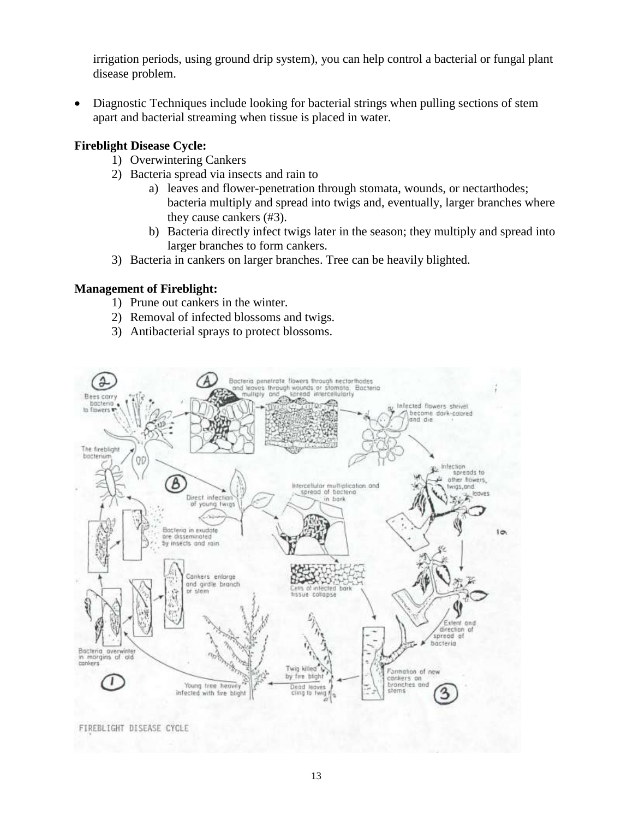irrigation periods, using ground drip system), you can help control a bacterial or fungal plant disease problem.

 Diagnostic Techniques include looking for bacterial strings when pulling sections of stem apart and bacterial streaming when tissue is placed in water.

### **Fireblight Disease Cycle:**

- 1) Overwintering Cankers
- 2) Bacteria spread via insects and rain to
	- a) leaves and flower-penetration through stomata, wounds, or nectarthodes; bacteria multiply and spread into twigs and, eventually, larger branches where they cause cankers (#3).
	- b) Bacteria directly infect twigs later in the season; they multiply and spread into larger branches to form cankers.
- 3) Bacteria in cankers on larger branches. Tree can be heavily blighted.

### **Management of Fireblight:**

- 1) Prune out cankers in the winter.
- 2) Removal of infected blossoms and twigs.
- 3) Antibacterial sprays to protect blossoms.

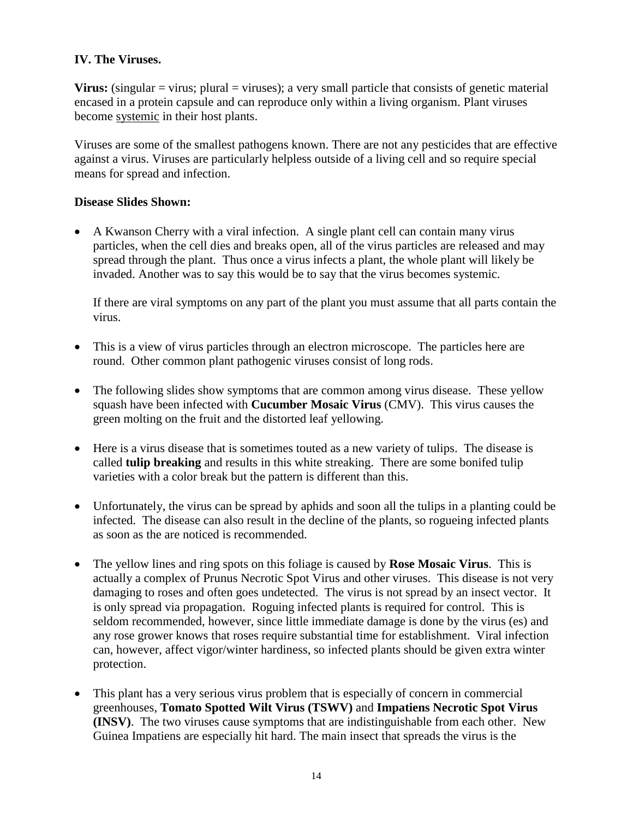# **IV. The Viruses.**

**Virus:** (singular  $=$  virus; plural  $=$  viruses); a very small particle that consists of genetic material encased in a protein capsule and can reproduce only within a living organism. Plant viruses become systemic in their host plants.

Viruses are some of the smallest pathogens known. There are not any pesticides that are effective against a virus. Viruses are particularly helpless outside of a living cell and so require special means for spread and infection.

### **Disease Slides Shown:**

 A Kwanson Cherry with a viral infection. A single plant cell can contain many virus particles, when the cell dies and breaks open, all of the virus particles are released and may spread through the plant. Thus once a virus infects a plant, the whole plant will likely be invaded. Another was to say this would be to say that the virus becomes systemic.

If there are viral symptoms on any part of the plant you must assume that all parts contain the virus.

- This is a view of virus particles through an electron microscope. The particles here are round. Other common plant pathogenic viruses consist of long rods.
- The following slides show symptoms that are common among virus disease. These yellow squash have been infected with **Cucumber Mosaic Virus** (CMV). This virus causes the green molting on the fruit and the distorted leaf yellowing.
- Here is a virus disease that is sometimes touted as a new variety of tulips. The disease is called **tulip breaking** and results in this white streaking. There are some bonifed tulip varieties with a color break but the pattern is different than this.
- Unfortunately, the virus can be spread by aphids and soon all the tulips in a planting could be infected. The disease can also result in the decline of the plants, so rogueing infected plants as soon as the are noticed is recommended.
- The yellow lines and ring spots on this foliage is caused by **Rose Mosaic Virus**. This is actually a complex of Prunus Necrotic Spot Virus and other viruses. This disease is not very damaging to roses and often goes undetected. The virus is not spread by an insect vector. It is only spread via propagation. Roguing infected plants is required for control. This is seldom recommended, however, since little immediate damage is done by the virus (es) and any rose grower knows that roses require substantial time for establishment. Viral infection can, however, affect vigor/winter hardiness, so infected plants should be given extra winter protection.
- This plant has a very serious virus problem that is especially of concern in commercial greenhouses, **Tomato Spotted Wilt Virus (TSWV)** and **Impatiens Necrotic Spot Virus (INSV)**. The two viruses cause symptoms that are indistinguishable from each other. New Guinea Impatiens are especially hit hard. The main insect that spreads the virus is the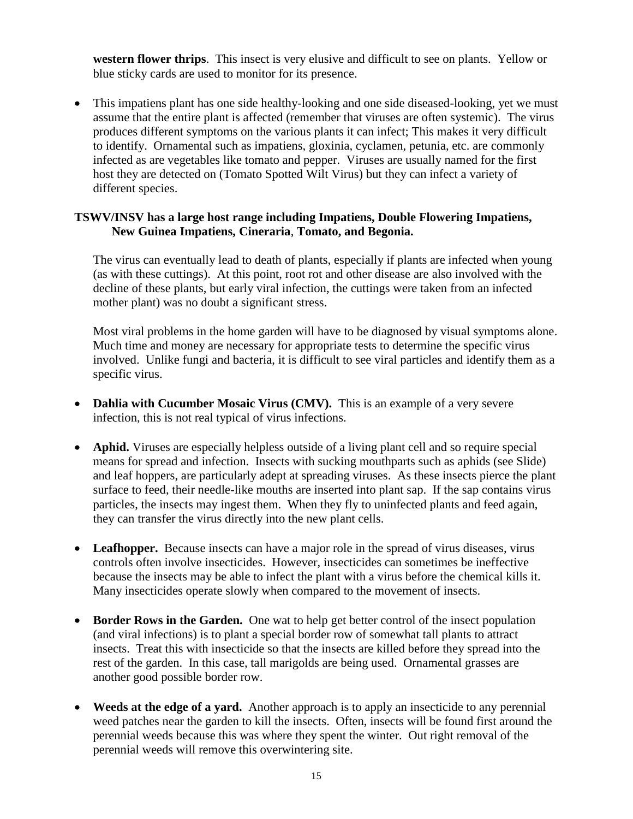**western flower thrips**. This insect is very elusive and difficult to see on plants. Yellow or blue sticky cards are used to monitor for its presence.

• This impatiens plant has one side healthy-looking and one side diseased-looking, yet we must assume that the entire plant is affected (remember that viruses are often systemic). The virus produces different symptoms on the various plants it can infect; This makes it very difficult to identify. Ornamental such as impatiens, gloxinia, cyclamen, petunia, etc. are commonly infected as are vegetables like tomato and pepper. Viruses are usually named for the first host they are detected on (Tomato Spotted Wilt Virus) but they can infect a variety of different species.

### **TSWV/INSV has a large host range including Impatiens, Double Flowering Impatiens, New Guinea Impatiens, Cineraria**, **Tomato, and Begonia.**

The virus can eventually lead to death of plants, especially if plants are infected when young (as with these cuttings). At this point, root rot and other disease are also involved with the decline of these plants, but early viral infection, the cuttings were taken from an infected mother plant) was no doubt a significant stress.

Most viral problems in the home garden will have to be diagnosed by visual symptoms alone. Much time and money are necessary for appropriate tests to determine the specific virus involved. Unlike fungi and bacteria, it is difficult to see viral particles and identify them as a specific virus.

- **Dahlia with Cucumber Mosaic Virus (CMV).** This is an example of a very severe infection, this is not real typical of virus infections.
- **Aphid.** Viruses are especially helpless outside of a living plant cell and so require special means for spread and infection. Insects with sucking mouthparts such as aphids (see Slide) and leaf hoppers, are particularly adept at spreading viruses. As these insects pierce the plant surface to feed, their needle-like mouths are inserted into plant sap. If the sap contains virus particles, the insects may ingest them. When they fly to uninfected plants and feed again, they can transfer the virus directly into the new plant cells.
- Leafhopper. Because insects can have a major role in the spread of virus diseases, virus controls often involve insecticides. However, insecticides can sometimes be ineffective because the insects may be able to infect the plant with a virus before the chemical kills it. Many insecticides operate slowly when compared to the movement of insects.
- **Border Rows in the Garden.** One wat to help get better control of the insect population (and viral infections) is to plant a special border row of somewhat tall plants to attract insects. Treat this with insecticide so that the insects are killed before they spread into the rest of the garden. In this case, tall marigolds are being used. Ornamental grasses are another good possible border row.
- **Weeds at the edge of a yard.** Another approach is to apply an insecticide to any perennial weed patches near the garden to kill the insects. Often, insects will be found first around the perennial weeds because this was where they spent the winter. Out right removal of the perennial weeds will remove this overwintering site.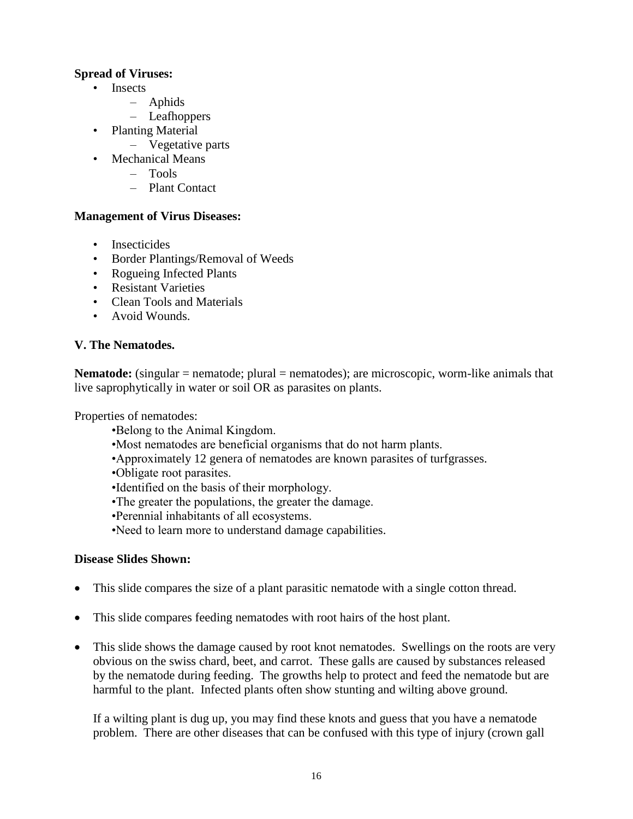### **Spread of Viruses:**

- Insects
	- Aphids
	- Leafhoppers
- Planting Material
	- Vegetative parts
- Mechanical Means
	- Tools
	- Plant Contact

### **Management of Virus Diseases:**

- Insecticides
- Border Plantings/Removal of Weeds
- Rogueing Infected Plants
- Resistant Varieties
- Clean Tools and Materials
- Avoid Wounds.

### **V. The Nematodes.**

**Nematode:** (singular = nematode; plural = nematodes); are microscopic, worm-like animals that live saprophytically in water or soil OR as parasites on plants.

Properties of nematodes:

- •Belong to the Animal Kingdom.
- •Most nematodes are beneficial organisms that do not harm plants.
- •Approximately 12 genera of nematodes are known parasites of turfgrasses.
- •Obligate root parasites.
- •Identified on the basis of their morphology.
- •The greater the populations, the greater the damage.
- •Perennial inhabitants of all ecosystems.
- •Need to learn more to understand damage capabilities.

#### **Disease Slides Shown:**

- This slide compares the size of a plant parasitic nematode with a single cotton thread.
- This slide compares feeding nematodes with root hairs of the host plant.
- This slide shows the damage caused by root knot nematodes. Swellings on the roots are very obvious on the swiss chard, beet, and carrot. These galls are caused by substances released by the nematode during feeding. The growths help to protect and feed the nematode but are harmful to the plant. Infected plants often show stunting and wilting above ground.

If a wilting plant is dug up, you may find these knots and guess that you have a nematode problem. There are other diseases that can be confused with this type of injury (crown gall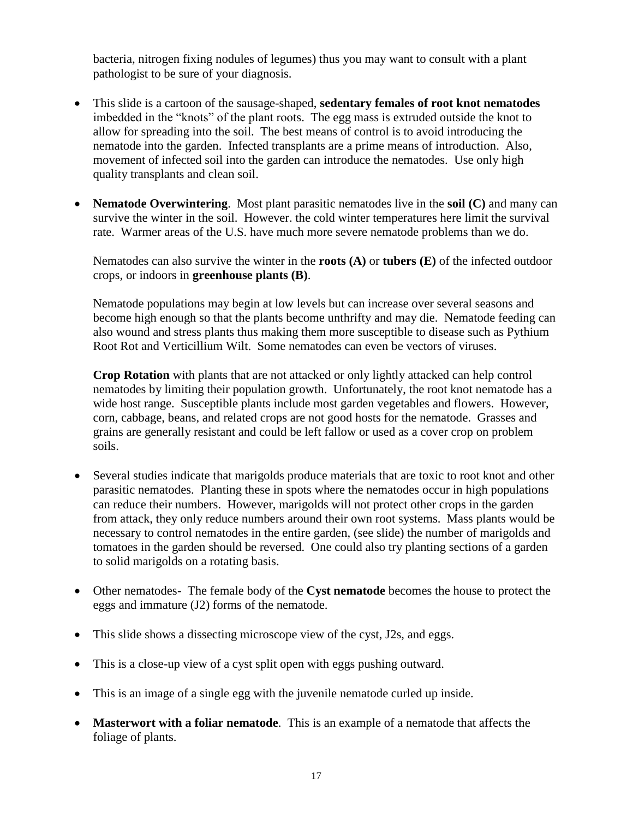bacteria, nitrogen fixing nodules of legumes) thus you may want to consult with a plant pathologist to be sure of your diagnosis.

- This slide is a cartoon of the sausage-shaped, **sedentary females of root knot nematodes** imbedded in the "knots" of the plant roots. The egg mass is extruded outside the knot to allow for spreading into the soil. The best means of control is to avoid introducing the nematode into the garden. Infected transplants are a prime means of introduction. Also, movement of infected soil into the garden can introduce the nematodes. Use only high quality transplants and clean soil.
- **Nematode Overwintering**. Most plant parasitic nematodes live in the **soil (C)** and many can survive the winter in the soil. However. the cold winter temperatures here limit the survival rate. Warmer areas of the U.S. have much more severe nematode problems than we do.

Nematodes can also survive the winter in the **roots (A)** or **tubers (E)** of the infected outdoor crops, or indoors in **greenhouse plants (B)**.

Nematode populations may begin at low levels but can increase over several seasons and become high enough so that the plants become unthrifty and may die. Nematode feeding can also wound and stress plants thus making them more susceptible to disease such as Pythium Root Rot and Verticillium Wilt. Some nematodes can even be vectors of viruses.

**Crop Rotation** with plants that are not attacked or only lightly attacked can help control nematodes by limiting their population growth. Unfortunately, the root knot nematode has a wide host range. Susceptible plants include most garden vegetables and flowers. However, corn, cabbage, beans, and related crops are not good hosts for the nematode. Grasses and grains are generally resistant and could be left fallow or used as a cover crop on problem soils.

- Several studies indicate that marigolds produce materials that are toxic to root knot and other parasitic nematodes. Planting these in spots where the nematodes occur in high populations can reduce their numbers. However, marigolds will not protect other crops in the garden from attack, they only reduce numbers around their own root systems. Mass plants would be necessary to control nematodes in the entire garden, (see slide) the number of marigolds and tomatoes in the garden should be reversed. One could also try planting sections of a garden to solid marigolds on a rotating basis.
- Other nematodes- The female body of the **Cyst nematode** becomes the house to protect the eggs and immature (J2) forms of the nematode.
- This slide shows a dissecting microscope view of the cyst, J2s, and eggs.
- This is a close-up view of a cyst split open with eggs pushing outward.
- This is an image of a single egg with the juvenile nematode curled up inside.
- **Masterwort with a foliar nematode**. This is an example of a nematode that affects the foliage of plants.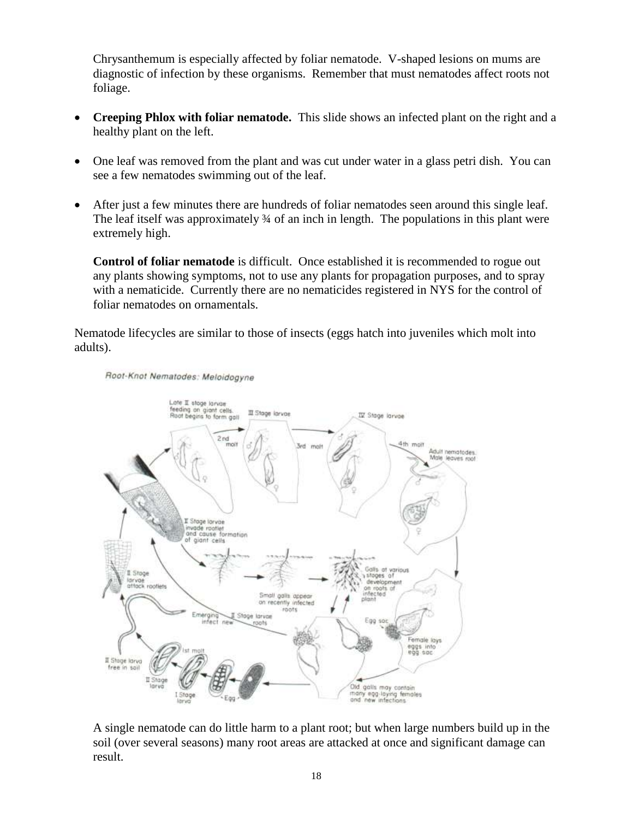Chrysanthemum is especially affected by foliar nematode. V-shaped lesions on mums are diagnostic of infection by these organisms. Remember that must nematodes affect roots not foliage.

- **Creeping Phlox with foliar nematode.** This slide shows an infected plant on the right and a healthy plant on the left.
- One leaf was removed from the plant and was cut under water in a glass petri dish. You can see a few nematodes swimming out of the leaf.
- After just a few minutes there are hundreds of foliar nematodes seen around this single leaf. The leaf itself was approximately  $\frac{3}{4}$  of an inch in length. The populations in this plant were extremely high.

**Control of foliar nematode** is difficult. Once established it is recommended to rogue out any plants showing symptoms, not to use any plants for propagation purposes, and to spray with a nematicide. Currently there are no nematicides registered in NYS for the control of foliar nematodes on ornamentals.

Nematode lifecycles are similar to those of insects (eggs hatch into juveniles which molt into adults).



A single nematode can do little harm to a plant root; but when large numbers build up in the soil (over several seasons) many root areas are attacked at once and significant damage can result.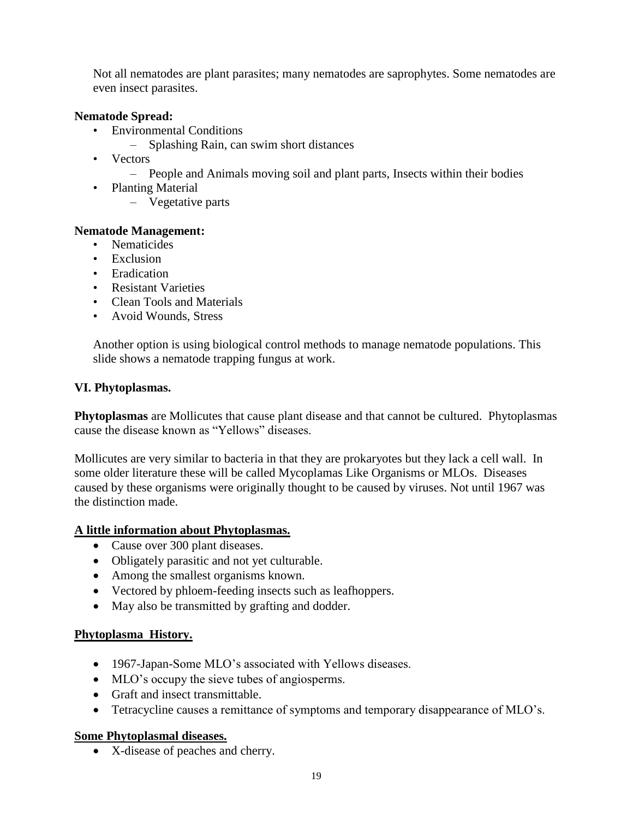Not all nematodes are plant parasites; many nematodes are saprophytes. Some nematodes are even insect parasites.

### **Nematode Spread:**

- Environmental Conditions
	- Splashing Rain, can swim short distances
- Vectors
	- People and Animals moving soil and plant parts, Insects within their bodies
- Planting Material
	- Vegetative parts

#### **Nematode Management:**

- Nematicides
- Exclusion
- Eradication
- Resistant Varieties
- Clean Tools and Materials
- Avoid Wounds, Stress

Another option is using biological control methods to manage nematode populations. This slide shows a nematode trapping fungus at work.

#### **VI. Phytoplasmas.**

**Phytoplasmas** are Mollicutes that cause plant disease and that cannot be cultured. Phytoplasmas cause the disease known as "Yellows" diseases.

Mollicutes are very similar to bacteria in that they are prokaryotes but they lack a cell wall. In some older literature these will be called Mycoplamas Like Organisms or MLOs. Diseases caused by these organisms were originally thought to be caused by viruses. Not until 1967 was the distinction made.

#### **A little information about Phytoplasmas.**

- Cause over 300 plant diseases.
- Obligately parasitic and not yet culturable.
- Among the smallest organisms known.
- Vectored by phloem-feeding insects such as leafhoppers.
- May also be transmitted by grafting and dodder.

#### **Phytoplasma History.**

- 1967-Japan-Some MLO's associated with Yellows diseases.
- MLO's occupy the sieve tubes of angiosperms.
- Graft and insect transmittable.
- Tetracycline causes a remittance of symptoms and temporary disappearance of MLO's.

#### **Some Phytoplasmal diseases.**

X-disease of peaches and cherry.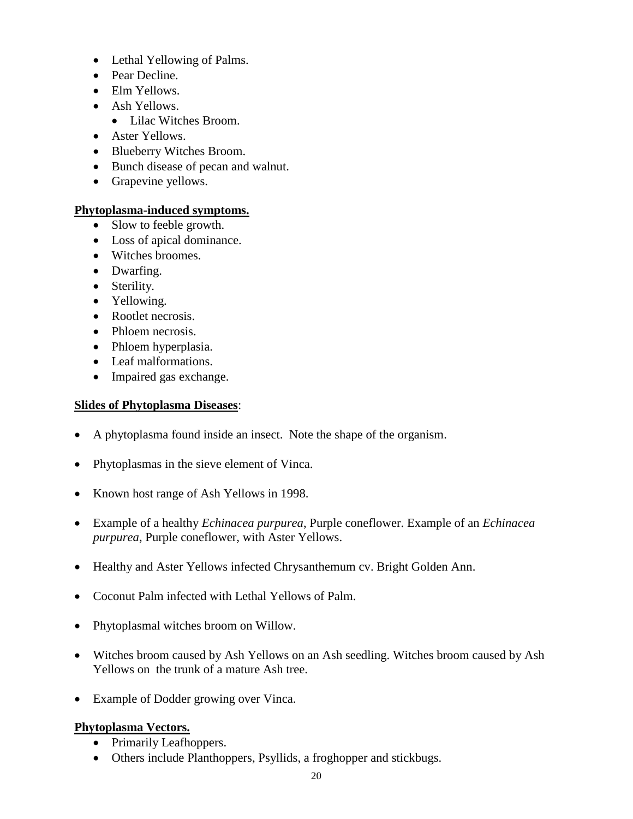- Lethal Yellowing of Palms.
- Pear Decline.
- Elm Yellows.
- Ash Yellows.
	- Lilac Witches Broom.
- Aster Yellows.
- Blueberry Witches Broom.
- Bunch disease of pecan and walnut.
- Grapevine yellows.

# **Phytoplasma-induced symptoms.**

- Slow to feeble growth.
- Loss of apical dominance.
- Witches broomes.
- Dwarfing.
- Sterility.
- Yellowing.
- Rootlet necrosis.
- Phloem necrosis.
- Phloem hyperplasia.
- Leaf malformations.
- Impaired gas exchange.

# **Slides of Phytoplasma Diseases**:

- A phytoplasma found inside an insect. Note the shape of the organism.
- Phytoplasmas in the sieve element of Vinca.
- Known host range of Ash Yellows in 1998.
- Example of a healthy *Echinacea purpurea*, Purple coneflower. Example of an *Echinacea purpurea*, Purple coneflower, with Aster Yellows.
- Healthy and Aster Yellows infected Chrysanthemum cv. Bright Golden Ann.
- Coconut Palm infected with Lethal Yellows of Palm.
- Phytoplasmal witches broom on Willow.
- Witches broom caused by Ash Yellows on an Ash seedling. Witches broom caused by Ash Yellows on the trunk of a mature Ash tree.
- Example of Dodder growing over Vinca.

### **Phytoplasma Vectors.**

- Primarily Leafhoppers.
- Others include Planthoppers, Psyllids, a froghopper and stickbugs.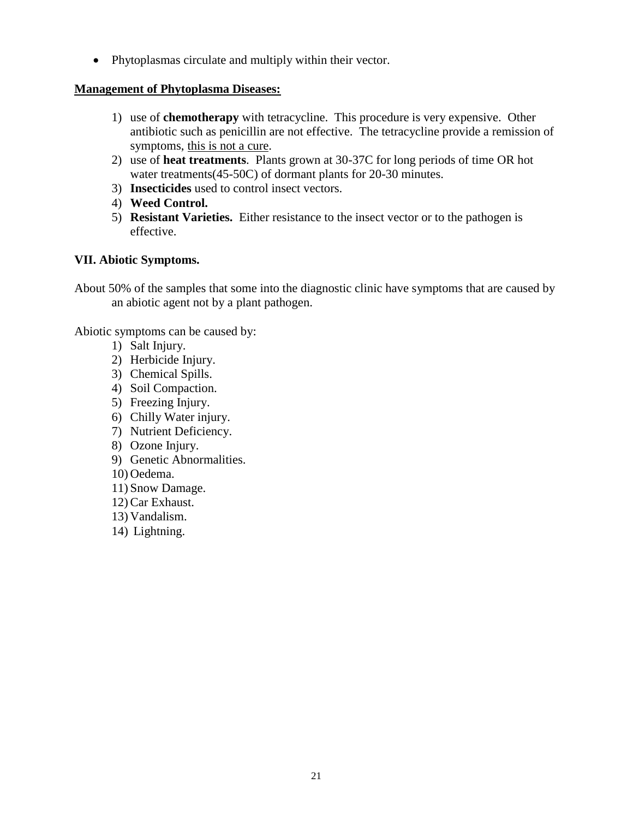• Phytoplasmas circulate and multiply within their vector.

### **Management of Phytoplasma Diseases:**

- 1) use of **chemotherapy** with tetracycline. This procedure is very expensive. Other antibiotic such as penicillin are not effective. The tetracycline provide a remission of symptoms, this is not a cure.
- 2) use of **heat treatments**. Plants grown at 30-37C for long periods of time OR hot water treatments(45-50C) of dormant plants for 20-30 minutes.
- 3) **Insecticides** used to control insect vectors.
- 4) **Weed Control.**
- 5) **Resistant Varieties.** Either resistance to the insect vector or to the pathogen is effective.

### **VII. Abiotic Symptoms.**

About 50% of the samples that some into the diagnostic clinic have symptoms that are caused by an abiotic agent not by a plant pathogen.

Abiotic symptoms can be caused by:

- 1) Salt Injury.
- 2) Herbicide Injury.
- 3) Chemical Spills.
- 4) Soil Compaction.
- 5) Freezing Injury.
- 6) Chilly Water injury.
- 7) Nutrient Deficiency.
- 8) Ozone Injury.
- 9) Genetic Abnormalities.
- 10) Oedema.
- 11) Snow Damage.
- 12) Car Exhaust.
- 13) Vandalism.
- 14) Lightning.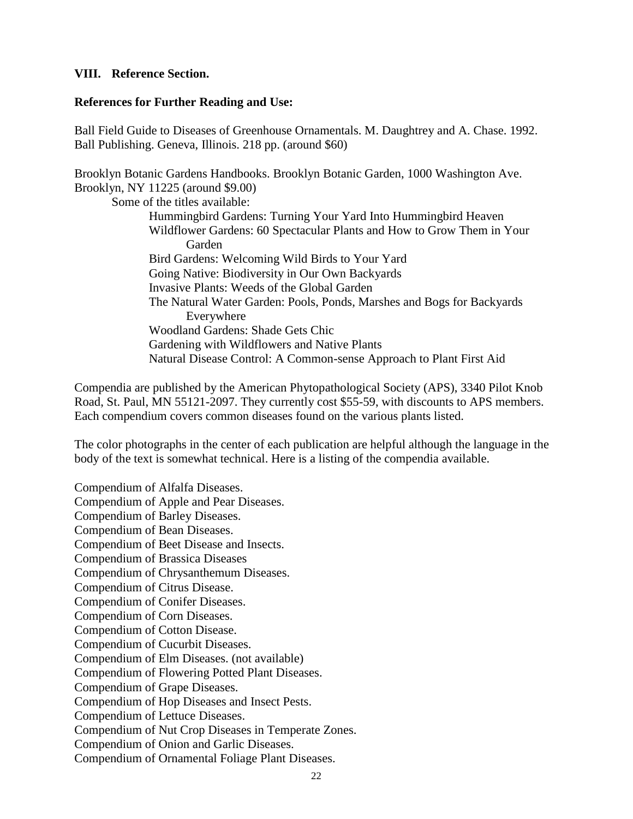#### **VIII. Reference Section.**

#### **References for Further Reading and Use:**

Ball Field Guide to Diseases of Greenhouse Ornamentals. M. Daughtrey and A. Chase. 1992. Ball Publishing. Geneva, Illinois. 218 pp. (around \$60)

Brooklyn Botanic Gardens Handbooks. Brooklyn Botanic Garden, 1000 Washington Ave. Brooklyn, NY 11225 (around \$9.00)

Some of the titles available: Hummingbird Gardens: Turning Your Yard Into Hummingbird Heaven Wildflower Gardens: 60 Spectacular Plants and How to Grow Them in Your Garden Bird Gardens: Welcoming Wild Birds to Your Yard Going Native: Biodiversity in Our Own Backyards Invasive Plants: Weeds of the Global Garden The Natural Water Garden: Pools, Ponds, Marshes and Bogs for Backyards Everywhere Woodland Gardens: Shade Gets Chic Gardening with Wildflowers and Native Plants Natural Disease Control: A Common-sense Approach to Plant First Aid

Compendia are published by the American Phytopathological Society (APS), 3340 Pilot Knob Road, St. Paul, MN 55121-2097. They currently cost \$55-59, with discounts to APS members. Each compendium covers common diseases found on the various plants listed.

The color photographs in the center of each publication are helpful although the language in the body of the text is somewhat technical. Here is a listing of the compendia available.

Compendium of Alfalfa Diseases. Compendium of Apple and Pear Diseases. Compendium of Barley Diseases. Compendium of Bean Diseases. Compendium of Beet Disease and Insects. Compendium of Brassica Diseases Compendium of Chrysanthemum Diseases. Compendium of Citrus Disease. Compendium of Conifer Diseases. Compendium of Corn Diseases. Compendium of Cotton Disease. Compendium of Cucurbit Diseases. Compendium of Elm Diseases. (not available) Compendium of Flowering Potted Plant Diseases. Compendium of Grape Diseases. Compendium of Hop Diseases and Insect Pests. Compendium of Lettuce Diseases. Compendium of Nut Crop Diseases in Temperate Zones. Compendium of Onion and Garlic Diseases. Compendium of Ornamental Foliage Plant Diseases.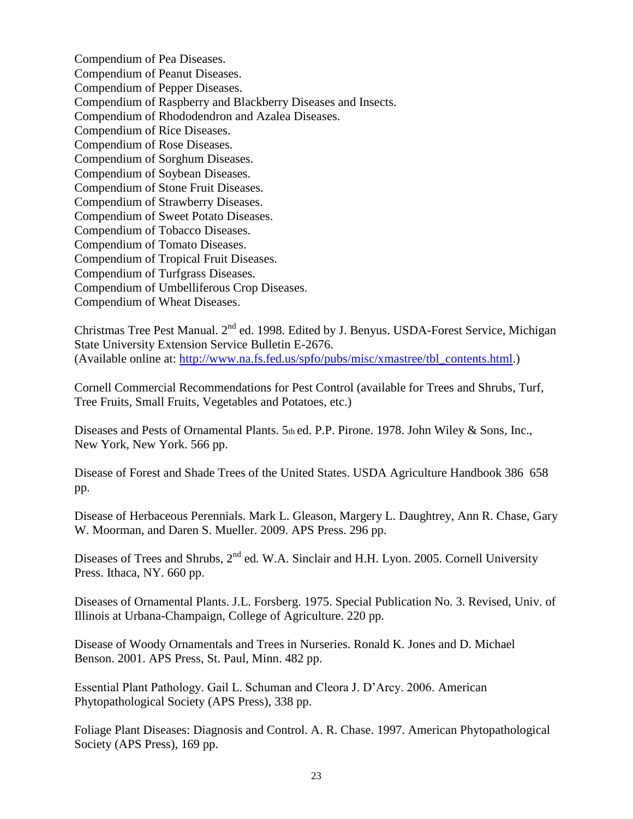Compendium of Pea Diseases. Compendium of Peanut Diseases. Compendium of Pepper Diseases. Compendium of Raspberry and Blackberry Diseases and Insects. Compendium of Rhododendron and Azalea Diseases. Compendium of Rice Diseases. Compendium of Rose Diseases. Compendium of Sorghum Diseases. Compendium of Soybean Diseases. Compendium of Stone Fruit Diseases. Compendium of Strawberry Diseases. Compendium of Sweet Potato Diseases. Compendium of Tobacco Diseases. Compendium of Tomato Diseases. Compendium of Tropical Fruit Diseases. Compendium of Turfgrass Diseases. Compendium of Umbelliferous Crop Diseases. Compendium of Wheat Diseases.

Christmas Tree Pest Manual. 2<sup>nd</sup> ed. 1998. Edited by J. Benyus. USDA-Forest Service, Michigan State University Extension Service Bulletin E-2676. (Available online at: [http://www.na.fs.fed.us/spfo/pubs/misc/xmastree/tbl\\_contents.html.](http://www.na.fs.fed.us/spfo/pubs/misc/xmastree/tbl_contents.html))

Cornell Commercial Recommendations for Pest Control (available for Trees and Shrubs, Turf, Tree Fruits, Small Fruits, Vegetables and Potatoes, etc.)

Diseases and Pests of Ornamental Plants. 5th ed. P.P. Pirone. 1978. John Wiley & Sons, Inc., New York, New York. 566 pp.

Disease of Forest and Shade Trees of the United States. USDA Agriculture Handbook 386 658 pp.

Disease of Herbaceous Perennials. Mark L. Gleason, Margery L. Daughtrey, Ann R. Chase, Gary W. Moorman, and Daren S. Mueller. 2009. APS Press. 296 pp.

Diseases of Trees and Shrubs, 2<sup>nd</sup> ed. W.A. Sinclair and H.H. Lyon. 2005. Cornell University Press. Ithaca, NY. 660 pp.

Diseases of Ornamental Plants. J.L. Forsberg. 1975. Special Publication No. 3. Revised, Univ. of Illinois at Urbana-Champaign, College of Agriculture. 220 pp.

Disease of Woody Ornamentals and Trees in Nurseries. Ronald K. Jones and D. Michael Benson. 2001. APS Press, St. Paul, Minn. 482 pp.

Essential Plant Pathology. Gail L. Schuman and Cleora J. D'Arcy. 2006. American Phytopathological Society (APS Press), 338 pp.

Foliage Plant Diseases: Diagnosis and Control. A. R. Chase. 1997. American Phytopathological Society (APS Press), 169 pp.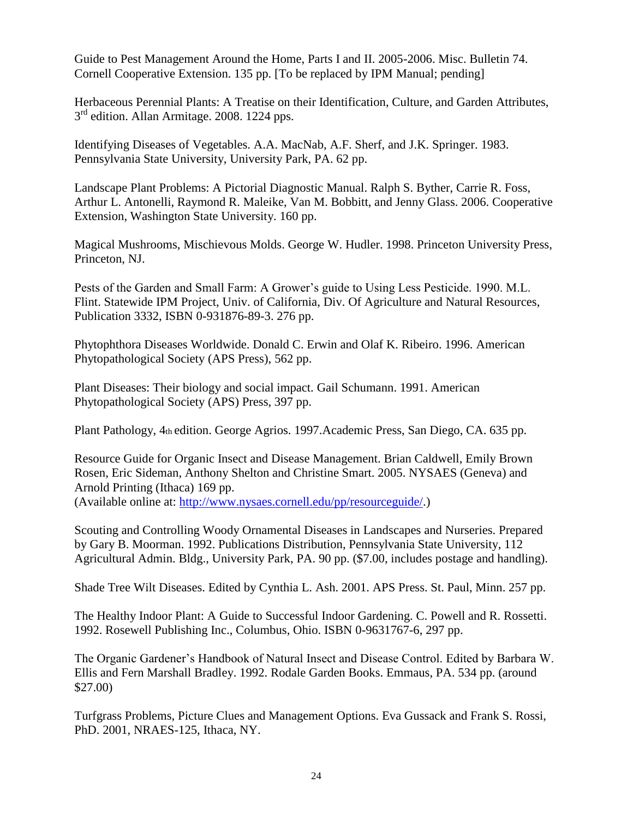Guide to Pest Management Around the Home, Parts I and II. 2005-2006. Misc. Bulletin 74. Cornell Cooperative Extension. 135 pp. [To be replaced by IPM Manual; pending]

Herbaceous Perennial Plants: A Treatise on their Identification, Culture, and Garden Attributes, 3<sup>rd</sup> edition. Allan Armitage. 2008. 1224 pps.

Identifying Diseases of Vegetables. A.A. MacNab, A.F. Sherf, and J.K. Springer. 1983. Pennsylvania State University, University Park, PA. 62 pp.

Landscape Plant Problems: A Pictorial Diagnostic Manual. Ralph S. Byther, Carrie R. Foss, Arthur L. Antonelli, Raymond R. Maleike, Van M. Bobbitt, and Jenny Glass. 2006. Cooperative Extension, Washington State University. 160 pp.

Magical Mushrooms, Mischievous Molds. George W. Hudler. 1998. Princeton University Press, Princeton, NJ.

Pests of the Garden and Small Farm: A Grower's guide to Using Less Pesticide. 1990. M.L. Flint. Statewide IPM Project, Univ. of California, Div. Of Agriculture and Natural Resources, Publication 3332, ISBN 0-931876-89-3. 276 pp.

Phytophthora Diseases Worldwide. Donald C. Erwin and Olaf K. Ribeiro. 1996. American Phytopathological Society (APS Press), 562 pp.

Plant Diseases: Their biology and social impact. Gail Schumann. 1991. American Phytopathological Society (APS) Press, 397 pp.

Plant Pathology, 4th edition. George Agrios. 1997.Academic Press, San Diego, CA. 635 pp.

Resource Guide for Organic Insect and Disease Management. Brian Caldwell, Emily Brown Rosen, Eric Sideman, Anthony Shelton and Christine Smart. 2005. NYSAES (Geneva) and Arnold Printing (Ithaca) 169 pp.

(Available online at: [http://www.nysaes.cornell.edu/pp/resourceguide/.](http://www.nysaes.cornell.edu/pp/resourceguide/))

Scouting and Controlling Woody Ornamental Diseases in Landscapes and Nurseries. Prepared by Gary B. Moorman. 1992. Publications Distribution, Pennsylvania State University, 112 Agricultural Admin. Bldg., University Park, PA. 90 pp. (\$7.00, includes postage and handling).

Shade Tree Wilt Diseases. Edited by Cynthia L. Ash. 2001. APS Press. St. Paul, Minn. 257 pp.

The Healthy Indoor Plant: A Guide to Successful Indoor Gardening. C. Powell and R. Rossetti. 1992. Rosewell Publishing Inc., Columbus, Ohio. ISBN 0-9631767-6, 297 pp.

The Organic Gardener's Handbook of Natural Insect and Disease Control. Edited by Barbara W. Ellis and Fern Marshall Bradley. 1992. Rodale Garden Books. Emmaus, PA. 534 pp. (around \$27.00)

Turfgrass Problems, Picture Clues and Management Options. Eva Gussack and Frank S. Rossi, PhD. 2001, NRAES-125, Ithaca, NY.